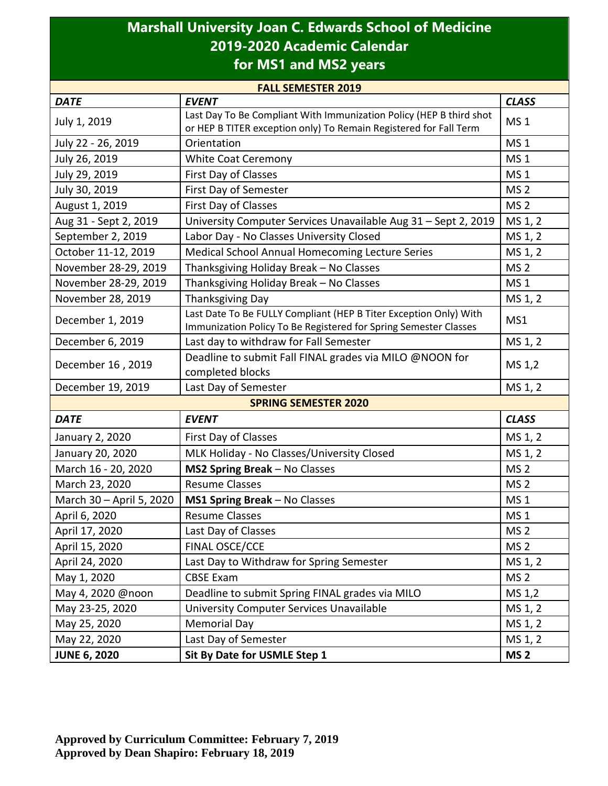## **Marshall University Joan C. Edwards School of Medicine 2019-2020 Academic Calendar for MS1 and MS2 years**

| <b>FALL SEMESTER 2019</b>   |                                                                           |                 |  |  |
|-----------------------------|---------------------------------------------------------------------------|-----------------|--|--|
| <b>DATE</b>                 | <b>EVENT</b>                                                              | <b>CLASS</b>    |  |  |
| July 1, 2019                | Last Day To Be Compliant With Immunization Policy (HEP B third shot       | MS <sub>1</sub> |  |  |
|                             | or HEP B TITER exception only) To Remain Registered for Fall Term         |                 |  |  |
| July 22 - 26, 2019          | Orientation                                                               | MS <sub>1</sub> |  |  |
| July 26, 2019               | <b>White Coat Ceremony</b>                                                | <b>MS1</b>      |  |  |
| July 29, 2019               | First Day of Classes                                                      | MS <sub>1</sub> |  |  |
| July 30, 2019               | First Day of Semester                                                     | MS <sub>2</sub> |  |  |
| August 1, 2019              | MS <sub>2</sub><br>First Day of Classes                                   |                 |  |  |
| Aug 31 - Sept 2, 2019       | University Computer Services Unavailable Aug 31 - Sept 2, 2019<br>MS 1, 2 |                 |  |  |
| September 2, 2019           | Labor Day - No Classes University Closed                                  | MS 1, 2         |  |  |
| October 11-12, 2019         | Medical School Annual Homecoming Lecture Series                           | MS 1, 2         |  |  |
| November 28-29, 2019        | Thanksgiving Holiday Break - No Classes                                   | MS <sub>2</sub> |  |  |
| November 28-29, 2019        | Thanksgiving Holiday Break - No Classes                                   | MS <sub>1</sub> |  |  |
| November 28, 2019           | <b>Thanksgiving Day</b>                                                   | MS 1, 2         |  |  |
| December 1, 2019            | Last Date To Be FULLY Compliant (HEP B Titer Exception Only) With         | MS1             |  |  |
|                             | Immunization Policy To Be Registered for Spring Semester Classes          |                 |  |  |
| December 6, 2019            | Last day to withdraw for Fall Semester                                    | MS 1, 2         |  |  |
| December 16, 2019           | Deadline to submit Fall FINAL grades via MILO @NOON for                   | MS 1,2          |  |  |
|                             | completed blocks                                                          |                 |  |  |
| December 19, 2019           | Last Day of Semester                                                      | MS 1, 2         |  |  |
| <b>SPRING SEMESTER 2020</b> |                                                                           |                 |  |  |
| <b>DATE</b>                 | <b>EVENT</b>                                                              | <b>CLASS</b>    |  |  |
| January 2, 2020             | First Day of Classes                                                      | MS 1, 2         |  |  |
| January 20, 2020            | MLK Holiday - No Classes/University Closed                                | MS 1, 2         |  |  |
| March 16 - 20, 2020         | MS2 Spring Break - No Classes                                             | MS <sub>2</sub> |  |  |
| March 23, 2020              | <b>Resume Classes</b>                                                     | MS <sub>2</sub> |  |  |
| March 30 - April 5, 2020    | MS1 Spring Break - No Classes                                             | MS <sub>1</sub> |  |  |
| April 6, 2020               | <b>Resume Classes</b>                                                     | <b>MS1</b>      |  |  |
| April 17, 2020              | Last Day of Classes                                                       | MS <sub>2</sub> |  |  |
| April 15, 2020              | FINAL OSCE/CCE                                                            | MS <sub>2</sub> |  |  |
| April 24, 2020              | Last Day to Withdraw for Spring Semester                                  | MS 1, 2         |  |  |
| May 1, 2020                 | <b>CBSE Exam</b>                                                          | MS <sub>2</sub> |  |  |
| May 4, 2020 @noon           | Deadline to submit Spring FINAL grades via MILO                           | MS 1,2          |  |  |
| May 23-25, 2020             | University Computer Services Unavailable                                  | MS 1, 2         |  |  |
| May 25, 2020                | <b>Memorial Day</b>                                                       | MS 1, 2         |  |  |
| May 22, 2020                | Last Day of Semester                                                      | MS 1, 2         |  |  |
| <b>JUNE 6, 2020</b>         | Sit By Date for USMLE Step 1                                              | MS <sub>2</sub> |  |  |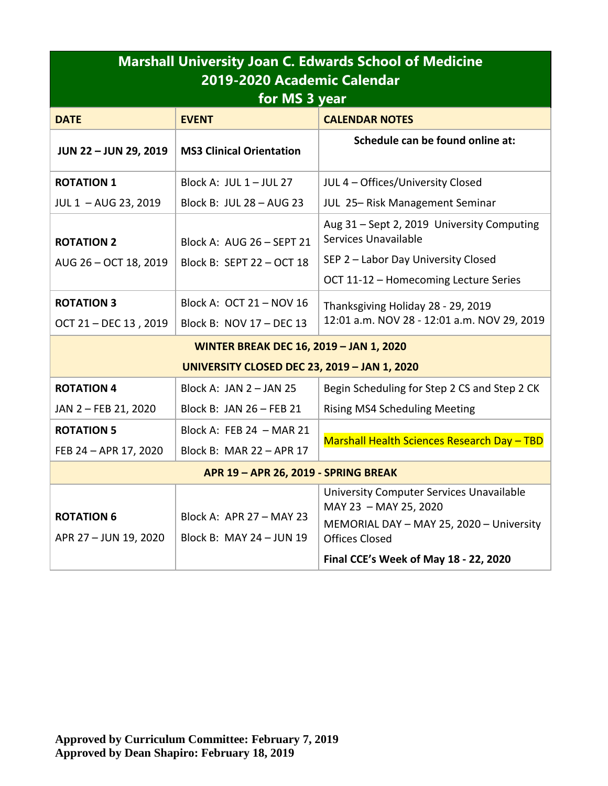| <b>Marshall University Joan C. Edwards School of Medicine</b><br>2019-2020 Academic Calendar<br>for MS 3 year |                                                      |                                                                                                                                                                                 |  |  |
|---------------------------------------------------------------------------------------------------------------|------------------------------------------------------|---------------------------------------------------------------------------------------------------------------------------------------------------------------------------------|--|--|
| <b>DATE</b>                                                                                                   | <b>EVENT</b>                                         | <b>CALENDAR NOTES</b>                                                                                                                                                           |  |  |
| <b>JUN 22-JUN 29, 2019</b>                                                                                    | <b>MS3 Clinical Orientation</b>                      | Schedule can be found online at:                                                                                                                                                |  |  |
| <b>ROTATION 1</b>                                                                                             | Block A: JUL $1 -$ JUL 27                            | JUL 4 - Offices/University Closed                                                                                                                                               |  |  |
| JUL 1 - AUG 23, 2019                                                                                          | Block B: JUL 28 - AUG 23                             | JUL 25-Risk Management Seminar                                                                                                                                                  |  |  |
| <b>ROTATION 2</b>                                                                                             | Block A: AUG 26 - SEPT 21                            | Aug 31 - Sept 2, 2019 University Computing<br>Services Unavailable                                                                                                              |  |  |
| AUG 26 - OCT 18, 2019                                                                                         | Block B: SEPT 22 - OCT 18                            | SEP 2 - Labor Day University Closed                                                                                                                                             |  |  |
|                                                                                                               |                                                      | OCT 11-12 - Homecoming Lecture Series                                                                                                                                           |  |  |
| <b>ROTATION 3</b>                                                                                             | Block A: OCT 21 - NOV 16                             | Thanksgiving Holiday 28 - 29, 2019                                                                                                                                              |  |  |
| OCT 21 - DEC 13, 2019                                                                                         | Block B: NOV 17 - DEC 13                             | 12:01 a.m. NOV 28 - 12:01 a.m. NOV 29, 2019                                                                                                                                     |  |  |
| <b>WINTER BREAK DEC 16, 2019 - JAN 1, 2020</b>                                                                |                                                      |                                                                                                                                                                                 |  |  |
| <b>UNIVERSITY CLOSED DEC 23, 2019 - JAN 1, 2020</b>                                                           |                                                      |                                                                                                                                                                                 |  |  |
| <b>ROTATION 4</b>                                                                                             | Block A: JAN $2 -$ JAN 25                            | Begin Scheduling for Step 2 CS and Step 2 CK                                                                                                                                    |  |  |
| JAN 2 - FEB 21, 2020                                                                                          | Block B: JAN 26 - FEB 21                             | <b>Rising MS4 Scheduling Meeting</b>                                                                                                                                            |  |  |
| <b>ROTATION 5</b>                                                                                             | Block A: FEB 24 - MAR 21                             | Marshall Health Sciences Research Day - TBD                                                                                                                                     |  |  |
| FEB 24 - APR 17, 2020                                                                                         | Block B: MAR 22 - APR 17                             |                                                                                                                                                                                 |  |  |
| APR 19 - APR 26, 2019 - SPRING BREAK                                                                          |                                                      |                                                                                                                                                                                 |  |  |
| <b>ROTATION 6</b><br>APR 27 - JUN 19, 2020                                                                    | Block A: APR 27 - MAY 23<br>Block B: MAY 24 - JUN 19 | University Computer Services Unavailable<br>MAY 23 - MAY 25, 2020<br>MEMORIAL DAY - MAY 25, 2020 - University<br><b>Offices Closed</b><br>Final CCE's Week of May 18 - 22, 2020 |  |  |